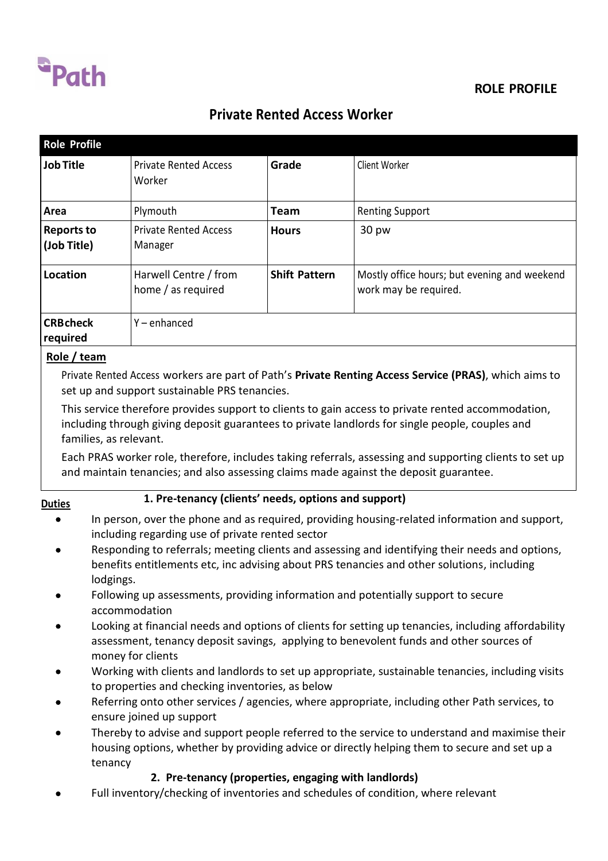

## **ROLE PROFILE**

# **Private Rented Access Worker**

| <b>Role Profile</b>              |                                                      |                      |                                                                                                                                                                                                                                                                                                |
|----------------------------------|------------------------------------------------------|----------------------|------------------------------------------------------------------------------------------------------------------------------------------------------------------------------------------------------------------------------------------------------------------------------------------------|
| <b>Job Title</b>                 | <b>Private Rented Access</b><br>Worker               | Grade                | Client Worker                                                                                                                                                                                                                                                                                  |
| Area                             | Plymouth                                             | <b>Team</b>          | <b>Renting Support</b>                                                                                                                                                                                                                                                                         |
| <b>Reports to</b><br>(Job Title) | <b>Private Rented Access</b><br>Manager              | <b>Hours</b>         | 30 pw                                                                                                                                                                                                                                                                                          |
| Location                         | Harwell Centre / from<br>home / as required          | <b>Shift Pattern</b> | Mostly office hours; but evening and weekend<br>work may be required.                                                                                                                                                                                                                          |
| <b>CRB</b> check<br>required     | $Y$ – enhanced                                       |                      |                                                                                                                                                                                                                                                                                                |
| Role / team                      |                                                      |                      |                                                                                                                                                                                                                                                                                                |
|                                  | set up and support sustainable PRS tenancies.        |                      | Private Rented Access workers are part of Path's Private Renting Access Service (PRAS), which aims to                                                                                                                                                                                          |
| families, as relevant.           |                                                      |                      | This service therefore provides support to clients to gain access to private rented accommodation,<br>including through giving deposit guarantees to private landlords for single people, couples and                                                                                          |
|                                  |                                                      |                      | Each PRAS worker role, therefore, includes taking referrals, assessing and supporting clients to set up<br>and maintain tenancies; and also assessing claims made against the deposit guarantee.                                                                                               |
| <b>Duties</b>                    | 1. Pre-tenancy (clients' needs, options and support) |                      |                                                                                                                                                                                                                                                                                                |
|                                  | including regarding use of private rented sector     |                      | In person, over the phone and as required, providing housing-related information and support,<br>Responding to referrals; meeting clients and assessing and identifying their needs and options,<br>benefits entitlements etc, inc advising about PRS tenancies and other solutions, including |
| lodgings.                        |                                                      |                      | Following up assessments, providing information and potentially support to secure                                                                                                                                                                                                              |
|                                  | accommodation                                        |                      |                                                                                                                                                                                                                                                                                                |
|                                  | money for clients                                    |                      | Looking at financial needs and options of clients for setting up tenancies, including affordability<br>assessment, tenancy deposit savings, applying to benevolent funds and other sources of                                                                                                  |
|                                  | to properties and checking inventories, as below     |                      | Working with clients and landlords to set up appropriate, sustainable tenancies, including visits                                                                                                                                                                                              |
|                                  | ensure joined up support                             |                      | Referring onto other services / agencies, where appropriate, including other Path services, to                                                                                                                                                                                                 |
| tenancy                          |                                                      |                      | Thereby to advise and support people referred to the service to understand and maximise their<br>housing options, whether by providing advice or directly helping them to secure and set up a                                                                                                  |
|                                  | 2. Pre-tenancy (properties, engaging with landlords) |                      |                                                                                                                                                                                                                                                                                                |
|                                  |                                                      |                      | Full inventory/checking of inventories and schedules of condition, where relevant                                                                                                                                                                                                              |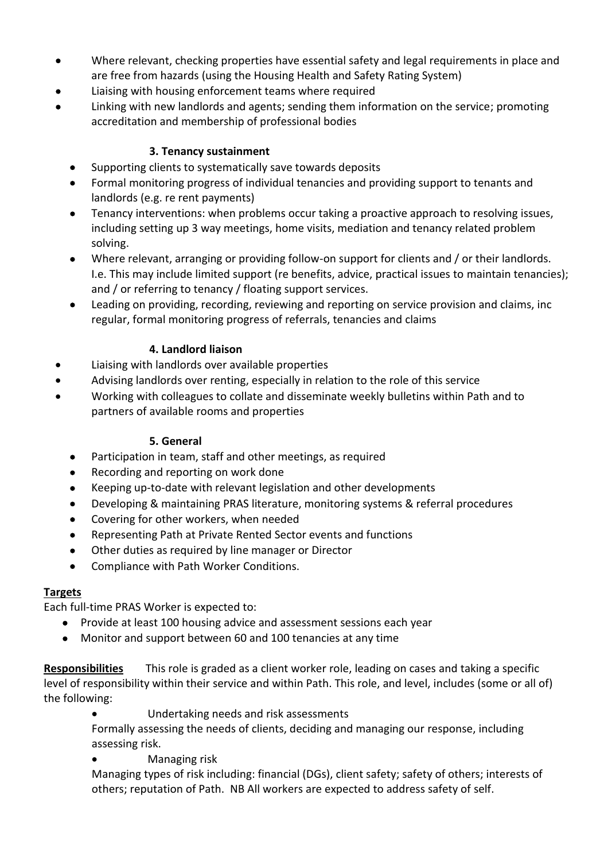- Where relevant, checking properties have essential safety and legal requirements in place and are free from hazards (using the Housing Health and Safety Rating System)
- Liaising with housing enforcement teams where required
- Linking with new landlords and agents; sending them information on the service; promoting accreditation and membership of professional bodies

#### **3. Tenancy sustainment**

- Supporting clients to systematically save towards deposits
- Formal monitoring progress of individual tenancies and providing support to tenants and landlords (e.g. re rent payments)
- Tenancy interventions: when problems occur taking a proactive approach to resolving issues, including setting up 3 way meetings, home visits, mediation and tenancy related problem solving.
- Where relevant, arranging or providing follow-on support for clients and / or their landlords. I.e. This may include limited support (re benefits, advice, practical issues to maintain tenancies); and / or referring to tenancy / floating support services.
- Leading on providing, recording, reviewing and reporting on service provision and claims, inc regular, formal monitoring progress of referrals, tenancies and claims

#### **4. Landlord liaison**

- Liaising with landlords over available properties
- Advising landlords over renting, especially in relation to the role of this service
- Working with colleagues to collate and disseminate weekly bulletins within Path and to partners of available rooms and properties

#### **5. General**

- Participation in team, staff and other meetings, as required
- Recording and reporting on work done
- Keeping up-to-date with relevant legislation and other developments
- Developing & maintaining PRAS literature, monitoring systems & referral procedures
- Covering for other workers, when needed
- Representing Path at Private Rented Sector events and functions
- Other duties as required by line manager or Director
- Compliance with Path Worker Conditions.

#### **Targets**

Each full-time PRAS Worker is expected to:

- Provide at least 100 housing advice and assessment sessions each year
- Monitor and support between 60 and 100 tenancies at any time

**Responsibilities** This role is graded as a client worker role, leading on cases and taking a specific level of responsibility within their service and within Path. This role, and level, includes (some or all of) the following:

Undertaking needs and risk assessments

Formally assessing the needs of clients, deciding and managing our response, including assessing risk.

Managing risk

Managing types of risk including: financial (DGs), client safety; safety of others; interests of others; reputation of Path. NB All workers are expected to address safety of self.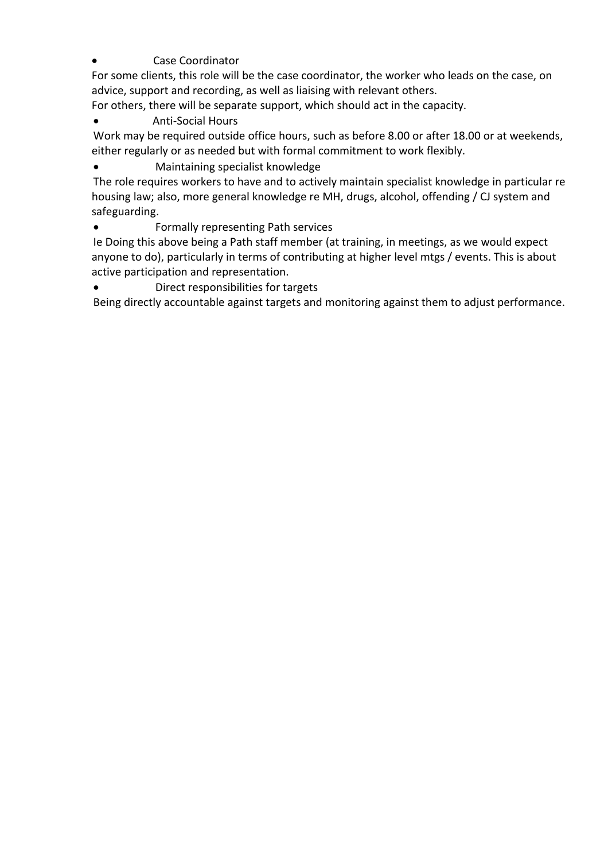Case Coordinator

For some clients, this role will be the case coordinator, the worker who leads on the case, on advice, support and recording, as well as liaising with relevant others.

For others, there will be separate support, which should act in the capacity.

#### Anti-Social Hours

Work may be required outside office hours, such as before 8.00 or after 18.00 or at weekends, either regularly or as needed but with formal commitment to work flexibly.

Maintaining specialist knowledge

The role requires workers to have and to actively maintain specialist knowledge in particular re housing law; also, more general knowledge re MH, drugs, alcohol, offending / CJ system and safeguarding.

Formally representing Path services

Ie Doing this above being a Path staff member (at training, in meetings, as we would expect anyone to do), particularly in terms of contributing at higher level mtgs / events. This is about active participation and representation.

Direct responsibilities for targets

Being directly accountable against targets and monitoring against them to adjust performance.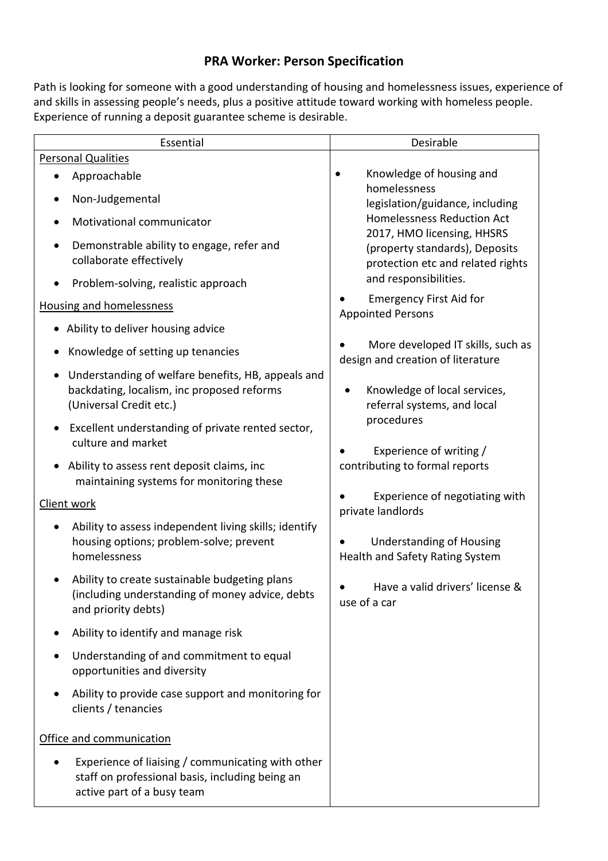### **PRA Worker: Person Specification**

Path is looking for someone with a good understanding of housing and homelessness issues, experience of and skills in assessing people's needs, plus a positive attitude toward working with homeless people. Experience of running a deposit guarantee scheme is desirable.

| Essential                                                                                                                          | Desirable                                                                                                                  |  |
|------------------------------------------------------------------------------------------------------------------------------------|----------------------------------------------------------------------------------------------------------------------------|--|
| <b>Personal Qualities</b>                                                                                                          |                                                                                                                            |  |
| Approachable                                                                                                                       | Knowledge of housing and                                                                                                   |  |
| Non-Judgemental                                                                                                                    | homelessness<br>legislation/guidance, including<br><b>Homelessness Reduction Act</b>                                       |  |
| Motivational communicator<br>$\bullet$                                                                                             |                                                                                                                            |  |
| Demonstrable ability to engage, refer and<br>$\bullet$<br>collaborate effectively                                                  | 2017, HMO licensing, HHSRS<br>(property standards), Deposits<br>protection etc and related rights<br>and responsibilities. |  |
| Problem-solving, realistic approach<br>$\bullet$                                                                                   |                                                                                                                            |  |
| <b>Housing and homelessness</b>                                                                                                    | <b>Emergency First Aid for</b><br><b>Appointed Persons</b>                                                                 |  |
| • Ability to deliver housing advice                                                                                                |                                                                                                                            |  |
| Knowledge of setting up tenancies                                                                                                  | More developed IT skills, such as<br>design and creation of literature                                                     |  |
| Understanding of welfare benefits, HB, appeals and<br>backdating, localism, inc proposed reforms<br>(Universal Credit etc.)        | Knowledge of local services,<br>٠<br>referral systems, and local                                                           |  |
| Excellent understanding of private rented sector,<br>culture and market                                                            | procedures<br>Experience of writing /                                                                                      |  |
| Ability to assess rent deposit claims, inc<br>maintaining systems for monitoring these                                             | contributing to formal reports                                                                                             |  |
| Client work                                                                                                                        | Experience of negotiating with<br>private landlords                                                                        |  |
| Ability to assess independent living skills; identify<br>housing options; problem-solve; prevent<br>homelessness                   | <b>Understanding of Housing</b><br>Health and Safety Rating System                                                         |  |
| Ability to create sustainable budgeting plans<br>(including understanding of money advice, debts<br>and priority debts)            | Have a valid drivers' license &<br>use of a car                                                                            |  |
| Ability to identify and manage risk                                                                                                |                                                                                                                            |  |
| Understanding of and commitment to equal<br>opportunities and diversity                                                            |                                                                                                                            |  |
| Ability to provide case support and monitoring for<br>clients / tenancies                                                          |                                                                                                                            |  |
| Office and communication                                                                                                           |                                                                                                                            |  |
| Experience of liaising / communicating with other<br>staff on professional basis, including being an<br>active part of a busy team |                                                                                                                            |  |